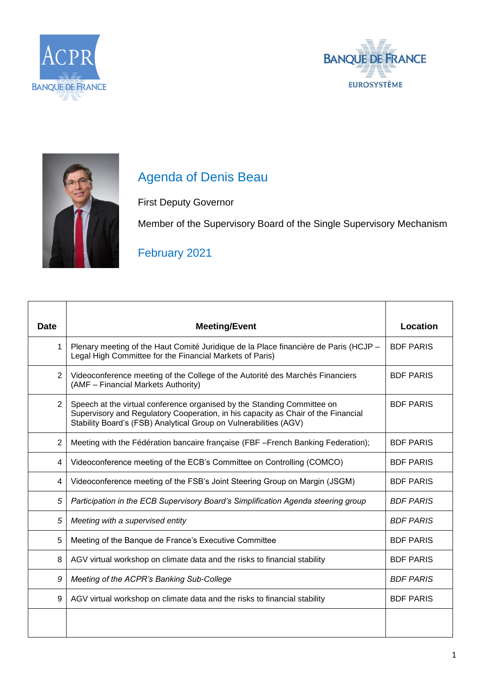





## Agenda of Denis Beau

First Deputy Governor

Member of the Supervisory Board of the Single Supervisory Mechanism

## February 2021

| <b>Date</b>    | <b>Meeting/Event</b>                                                                                                                                                                                                              | Location         |
|----------------|-----------------------------------------------------------------------------------------------------------------------------------------------------------------------------------------------------------------------------------|------------------|
| 1              | Plenary meeting of the Haut Comité Juridique de la Place financière de Paris (HCJP -<br>Legal High Committee for the Financial Markets of Paris)                                                                                  | <b>BDF PARIS</b> |
| 2              | Videoconference meeting of the College of the Autorité des Marchés Financiers<br>(AMF - Financial Markets Authority)                                                                                                              | <b>BDF PARIS</b> |
| $\overline{2}$ | Speech at the virtual conference organised by the Standing Committee on<br>Supervisory and Regulatory Cooperation, in his capacity as Chair of the Financial<br>Stability Board's (FSB) Analytical Group on Vulnerabilities (AGV) | <b>BDF PARIS</b> |
| 2              | Meeting with the Fédération bancaire française (FBF -French Banking Federation);                                                                                                                                                  | <b>BDF PARIS</b> |
| 4              | Videoconference meeting of the ECB's Committee on Controlling (COMCO)                                                                                                                                                             | <b>BDF PARIS</b> |
| 4              | Videoconference meeting of the FSB's Joint Steering Group on Margin (JSGM)                                                                                                                                                        | <b>BDF PARIS</b> |
| 5              | Participation in the ECB Supervisory Board's Simplification Agenda steering group                                                                                                                                                 | <b>BDF PARIS</b> |
| 5              | Meeting with a supervised entity                                                                                                                                                                                                  | <b>BDF PARIS</b> |
| 5              | Meeting of the Banque de France's Executive Committee                                                                                                                                                                             | <b>BDF PARIS</b> |
| 8              | AGV virtual workshop on climate data and the risks to financial stability                                                                                                                                                         | <b>BDF PARIS</b> |
| 9              | Meeting of the ACPR's Banking Sub-College                                                                                                                                                                                         | <b>BDF PARIS</b> |
| 9              | AGV virtual workshop on climate data and the risks to financial stability                                                                                                                                                         | <b>BDF PARIS</b> |
|                |                                                                                                                                                                                                                                   |                  |